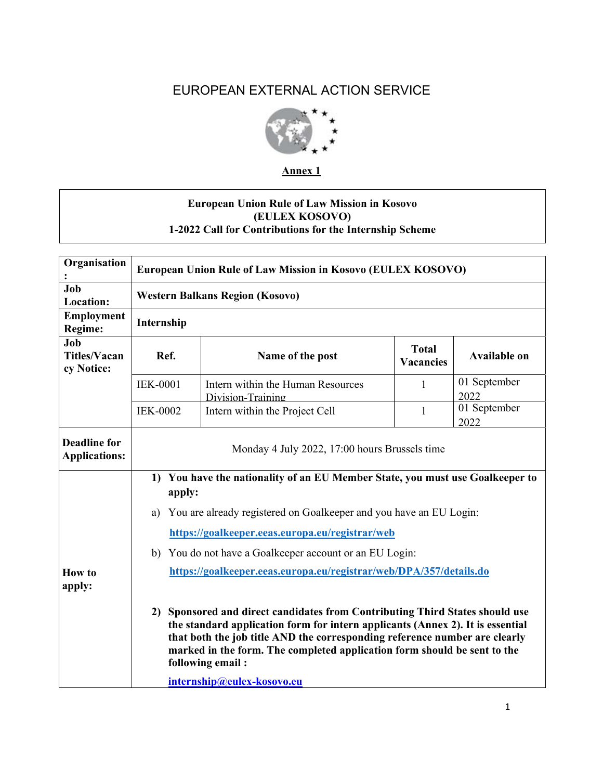# EUROPEAN EXTERNAL ACTION SERVICE



**Annex 1** 

# **European Union Rule of Law Mission in Kosovo (EULEX KOSOVO) 1-2022 Call for Contributions for the Internship Scheme**

| Organisation                                | European Union Rule of Law Mission in Kosovo (EULEX KOSOVO)                                                                                                                                                                                                                                                                                                                |                                                        |                                  |                      |  |  |
|---------------------------------------------|----------------------------------------------------------------------------------------------------------------------------------------------------------------------------------------------------------------------------------------------------------------------------------------------------------------------------------------------------------------------------|--------------------------------------------------------|----------------------------------|----------------------|--|--|
| Job<br><b>Location:</b>                     | <b>Western Balkans Region (Kosovo)</b>                                                                                                                                                                                                                                                                                                                                     |                                                        |                                  |                      |  |  |
| <b>Employment</b><br>Regime:                | Internship                                                                                                                                                                                                                                                                                                                                                                 |                                                        |                                  |                      |  |  |
| Job<br><b>Titles/Vacan</b><br>cy Notice:    | Ref.                                                                                                                                                                                                                                                                                                                                                                       | Name of the post                                       | <b>Total</b><br><b>Vacancies</b> | <b>Available on</b>  |  |  |
|                                             | <b>IEK-0001</b>                                                                                                                                                                                                                                                                                                                                                            | Intern within the Human Resources<br>Division-Training | 1                                | 01 September<br>2022 |  |  |
|                                             | <b>IEK-0002</b>                                                                                                                                                                                                                                                                                                                                                            | Intern within the Project Cell                         | $\mathbf{1}$                     | 01 September<br>2022 |  |  |
| <b>Deadline for</b><br><b>Applications:</b> | Monday 4 July 2022, 17:00 hours Brussels time                                                                                                                                                                                                                                                                                                                              |                                                        |                                  |                      |  |  |
|                                             | 1) You have the nationality of an EU Member State, you must use Goalkeeper to<br>apply:                                                                                                                                                                                                                                                                                    |                                                        |                                  |                      |  |  |
|                                             | You are already registered on Goalkeeper and you have an EU Login:<br>a)                                                                                                                                                                                                                                                                                                   |                                                        |                                  |                      |  |  |
|                                             | https://goalkeeper.eeas.europa.eu/registrar/web                                                                                                                                                                                                                                                                                                                            |                                                        |                                  |                      |  |  |
|                                             | b) You do not have a Goalkeeper account or an EU Login:                                                                                                                                                                                                                                                                                                                    |                                                        |                                  |                      |  |  |
| <b>How to</b><br>apply:                     | https://goalkeeper.eeas.europa.eu/registrar/web/DPA/357/details.do                                                                                                                                                                                                                                                                                                         |                                                        |                                  |                      |  |  |
|                                             | 2) Sponsored and direct candidates from Contributing Third States should use<br>the standard application form for intern applicants (Annex 2). It is essential<br>that both the job title AND the corresponding reference number are clearly<br>marked in the form. The completed application form should be sent to the<br>following email:<br>internship@eulex-kosovo.eu |                                                        |                                  |                      |  |  |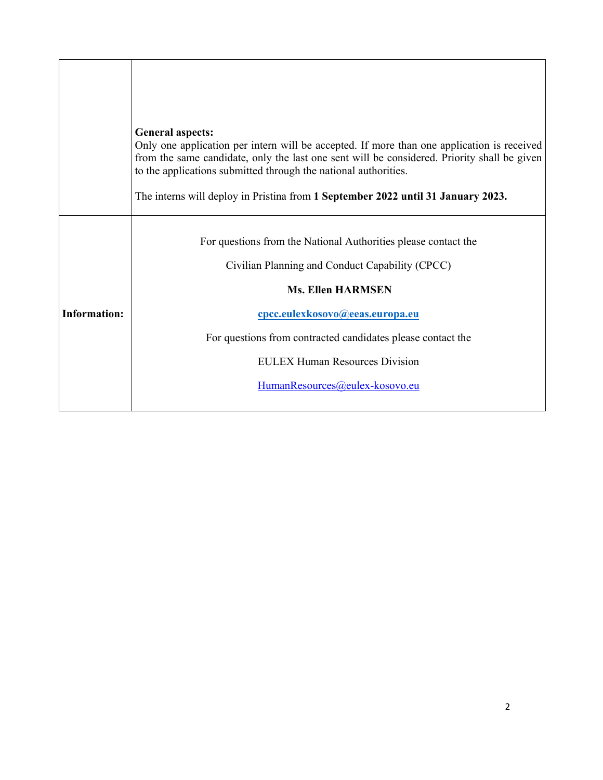|                     | <b>General aspects:</b><br>Only one application per intern will be accepted. If more than one application is received<br>from the same candidate, only the last one sent will be considered. Priority shall be given<br>to the applications submitted through the national authorities. |
|---------------------|-----------------------------------------------------------------------------------------------------------------------------------------------------------------------------------------------------------------------------------------------------------------------------------------|
|                     | The interns will deploy in Pristina from 1 September 2022 until 31 January 2023.                                                                                                                                                                                                        |
|                     | For questions from the National Authorities please contact the                                                                                                                                                                                                                          |
|                     | Civilian Planning and Conduct Capability (CPCC)                                                                                                                                                                                                                                         |
|                     | <b>Ms. Ellen HARMSEN</b>                                                                                                                                                                                                                                                                |
| <b>Information:</b> | cpcc.eulexkosovo@eeas.europa.eu                                                                                                                                                                                                                                                         |
|                     | For questions from contracted candidates please contact the                                                                                                                                                                                                                             |
|                     | <b>EULEX Human Resources Division</b>                                                                                                                                                                                                                                                   |
|                     | HumanResources@eulex-kosovo.eu                                                                                                                                                                                                                                                          |
|                     |                                                                                                                                                                                                                                                                                         |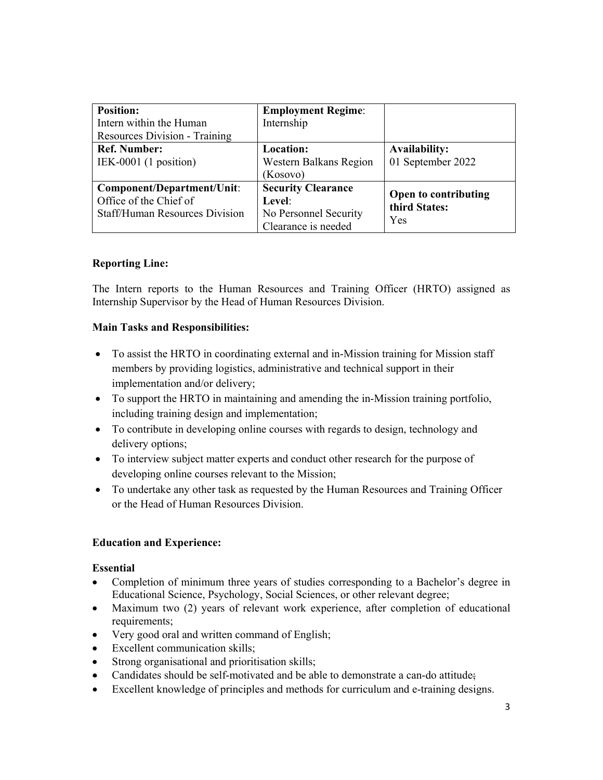| <b>Position:</b>                      | <b>Employment Regime:</b> |                                       |  |
|---------------------------------------|---------------------------|---------------------------------------|--|
| Intern within the Human               | Internship                |                                       |  |
| <b>Resources Division - Training</b>  |                           |                                       |  |
| <b>Ref. Number:</b>                   | <b>Location:</b>          | <b>Availability:</b>                  |  |
| IEK-0001 $(1$ position)               | Western Balkans Region    | 01 September 2022                     |  |
|                                       | (Kosovo)                  |                                       |  |
| Component/Department/Unit:            | <b>Security Clearance</b> |                                       |  |
| Office of the Chief of                | Level:                    | Open to contributing<br>third States: |  |
| <b>Staff/Human Resources Division</b> | No Personnel Security     | Yes                                   |  |
|                                       | Clearance is needed       |                                       |  |

## **Reporting Line:**

The Intern reports to the Human Resources and Training Officer (HRTO) assigned as Internship Supervisor by the Head of Human Resources Division.

## **Main Tasks and Responsibilities:**

- To assist the HRTO in coordinating external and in-Mission training for Mission staff members by providing logistics, administrative and technical support in their implementation and/or delivery;
- To support the HRTO in maintaining and amending the in-Mission training portfolio, including training design and implementation;
- To contribute in developing online courses with regards to design, technology and delivery options;
- To interview subject matter experts and conduct other research for the purpose of developing online courses relevant to the Mission;
- To undertake any other task as requested by the Human Resources and Training Officer or the Head of Human Resources Division.

## **Education and Experience:**

## **Essential**

- Completion of minimum three years of studies corresponding to a Bachelor's degree in Educational Science, Psychology, Social Sciences, or other relevant degree;
- Maximum two (2) years of relevant work experience, after completion of educational requirements;
- Very good oral and written command of English;
- Excellent communication skills;
- Strong organisational and prioritisation skills;
- Candidates should be self-motivated and be able to demonstrate a can-do attitude;
- Excellent knowledge of principles and methods for curriculum and e-training designs.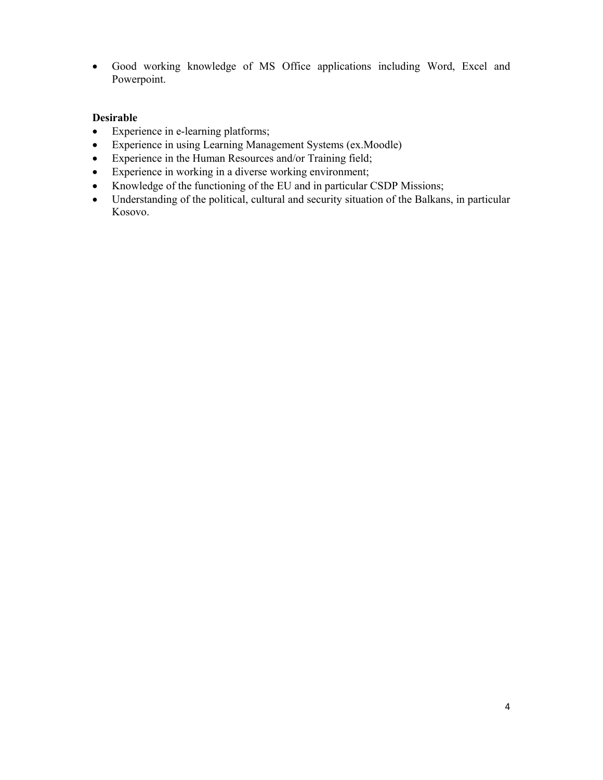Good working knowledge of MS Office applications including Word, Excel and Powerpoint.

#### **Desirable**

- Experience in e-learning platforms;
- Experience in using Learning Management Systems (ex.Moodle)
- Experience in the Human Resources and/or Training field;
- Experience in working in a diverse working environment;
- Knowledge of the functioning of the EU and in particular CSDP Missions;
- Understanding of the political, cultural and security situation of the Balkans, in particular Kosovo.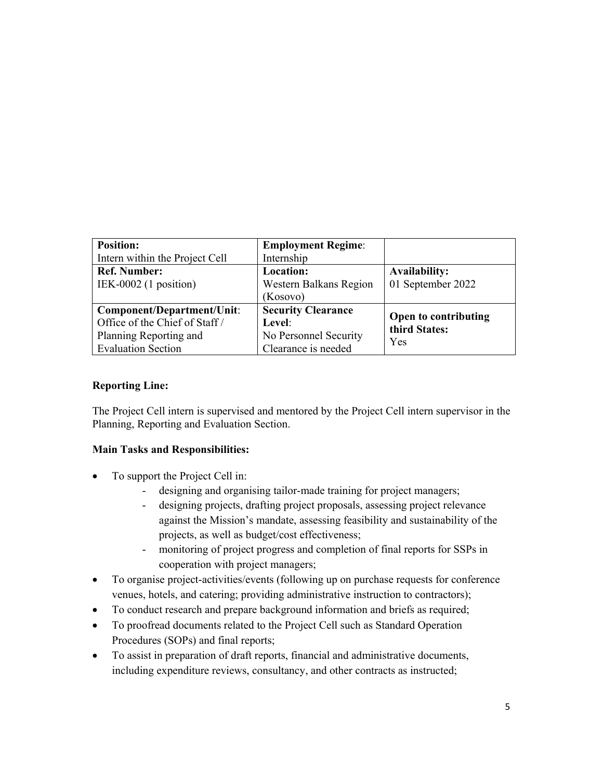| <b>Position:</b>               | <b>Employment Regime:</b> |                      |  |
|--------------------------------|---------------------------|----------------------|--|
| Intern within the Project Cell | Internship                |                      |  |
| <b>Ref. Number:</b>            | Location:                 | <b>Availability:</b> |  |
| IEK-0002 $(1$ position)        | Western Balkans Region    | 01 September 2022    |  |
|                                | (Kosovo)                  |                      |  |
| Component/Department/Unit:     | <b>Security Clearance</b> | Open to contributing |  |
| Office of the Chief of Staff / | Level:                    | third States:        |  |
| Planning Reporting and         | No Personnel Security     | Yes                  |  |
| <b>Evaluation Section</b>      | Clearance is needed       |                      |  |

## **Reporting Line:**

The Project Cell intern is supervised and mentored by the Project Cell intern supervisor in the Planning, Reporting and Evaluation Section.

## **Main Tasks and Responsibilities:**

- To support the Project Cell in:
	- designing and organising tailor-made training for project managers;
	- designing projects, drafting project proposals, assessing project relevance against the Mission's mandate, assessing feasibility and sustainability of the projects, as well as budget/cost effectiveness;
	- monitoring of project progress and completion of final reports for SSPs in cooperation with project managers;
- To organise project-activities/events (following up on purchase requests for conference venues, hotels, and catering; providing administrative instruction to contractors);
- To conduct research and prepare background information and briefs as required;
- To proofread documents related to the Project Cell such as Standard Operation Procedures (SOPs) and final reports;
- To assist in preparation of draft reports, financial and administrative documents, including expenditure reviews, consultancy, and other contracts as instructed;